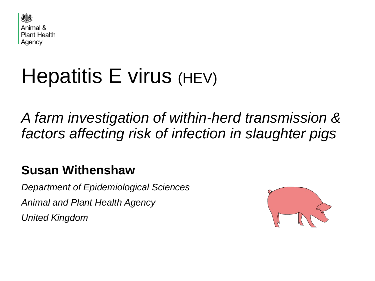

# Hepatitis E virus (HEV)

*A farm investigation of within-herd transmission & factors affecting risk of infection in slaughter pigs*

## **Susan Withenshaw**

*Department of Epidemiological Sciences Animal and Plant Health Agency United Kingdom*

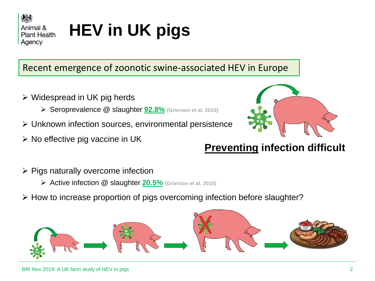

# **HEV in UK pigs**

### Recent emergence of zoonotic swine-associated HEV in Europe

- $\triangleright$  Widespread in UK pig herds
	- Seroprevalence @ slaughter **92.8% (Grierson et al. 2015)**
- Unknown infection sources, environmental persistence
- $\triangleright$  No effective pig vaccine in UK



### **Preventing infection difficult**

- $\triangleright$  Pigs naturally overcome infection
	- Active infection @ slaughter **20.5% (Grierson et al. 2015)**
- $\triangleright$  How to increase proportion of pigs overcoming infection before slaughter?

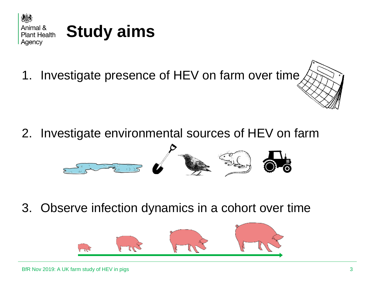

1. Investigate presence of HEV on farm over time

2. Investigate environmental sources of HEV on farm



3. Observe infection dynamics in a cohort over time

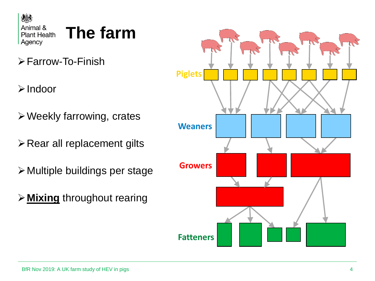

# **The farm**

- Farrow-To-Finish
- Indoor
- Weekly farrowing, crates
- $\triangleright$  Rear all replacement gilts
- Multiple buildings per stage
- **Mixing** throughout rearing

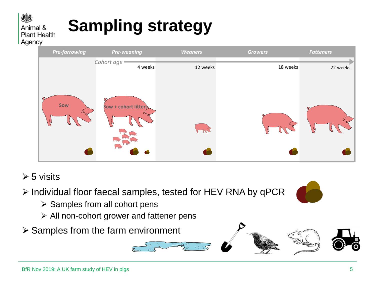# **Sampling strategy**

*Cohort age*

 *Pre-farrowing Pre-weaning Weaners Growers Fatteners*

Animal & **Plant Health** Agency

 $\geq 5$  visits

> Individual floor faecal samples, tested for HEV RNA by qPCR

- $\triangleright$  Samples from all cohort pens
- $\triangleright$  All non-cohort grower and fattener pens
- $\triangleright$  Samples from the farm environment



4 weeks 12 weeks 12 weeks 22 weeks 22 weeks 22 weeks



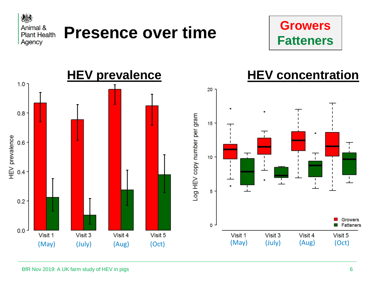



#### **HEV prevalence HEV concentration** $1.0 -$ 20  $0.8$ Log HEV copy number per gram  $15$ HEV prevalence  $0.6$ ┯  $\top$  $10$  $0.4$  $\mathbf{I}$ حف  $\mathbf{I}$ ┰ ட் 5  $0.2$ **Growers**  $\mathbf 0$ Fatteners  $\mathcal{C}^{\mathcal{A}}$  $0.0$ Visit 1 Visit 3 Visit 4 Visit 5 Visit 1 Visit 3 Visit 4 Visit 5 (May) (July) (Aug) (Oct) (May) (July) (Aug) (Oct)

BfR Nov 2019: A UK farm study of HEV in pigs 6  $\,$  6  $\,$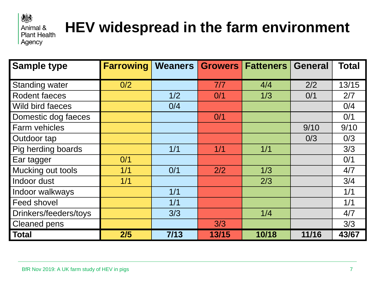#### 爆 Animal & **Plant Health** Agency

# **HEV widespread in the farm environment**

| <b>Sample type</b>    | <b>Farrowing</b> |      |       | Weaners Growers Fatteners | <b>General</b> | <b>Total</b> |
|-----------------------|------------------|------|-------|---------------------------|----------------|--------------|
| Standing water        | 0/2              |      | 7/7   | 4/4                       | 2/2            | 13/15        |
| <b>Rodent faeces</b>  |                  | 1/2  | 0/1   | 1/3                       | 0/1            | 2/7          |
| Wild bird faeces      |                  | 0/4  |       |                           |                | 0/4          |
| Domestic dog faeces   |                  |      | 0/1   |                           |                | 0/1          |
| Farm vehicles         |                  |      |       |                           | 9/10           | 9/10         |
| Outdoor tap           |                  |      |       |                           | 0/3            | 0/3          |
| Pig herding boards    |                  | 1/1  | 1/1   | 1/1                       |                | 3/3          |
| Ear tagger            | 0/1              |      |       |                           |                | 0/1          |
| Mucking out tools     | 1/1              | 0/1  | 2/2   | 1/3                       |                | 4/7          |
| Indoor dust           | 1/1              |      |       | 2/3                       |                | 3/4          |
| Indoor walkways       |                  | 1/1  |       |                           |                | 1/1          |
| <b>Feed shovel</b>    |                  | 1/1  |       |                           |                | 1/1          |
| Drinkers/feeders/toys |                  | 3/3  |       | 1/4                       |                | 4/7          |
| <b>Cleaned pens</b>   |                  |      | 3/3   |                           |                | 3/3          |
| Total                 | 2/5              | 7/13 | 13/15 | 10/18                     | 11/16          | 43/67        |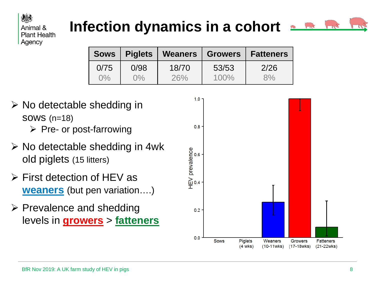### Animal & **Plant Health** Agency

## **Infection dynamics in a cohort**



|       | Sows   Piglets |       | Weaners   Growers   Fatteners |      |
|-------|----------------|-------|-------------------------------|------|
| 0/75  | 0/98           | 18/70 | 53/53                         | 2/26 |
| $0\%$ | $0\%$          | 26%   | $100\%$                       | 8%   |

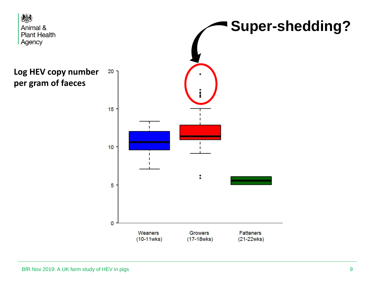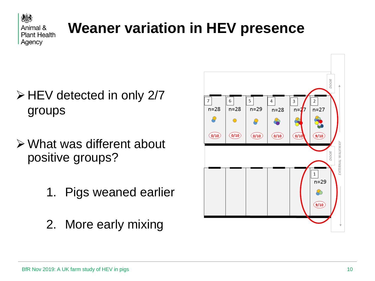

# **Weaner variation in HEV presence**

- $\triangleright$  HEV detected in only 2/7 groups
- What was different about positive groups?
	- 1. Pigs weaned earlier
	- 2. More early mixing

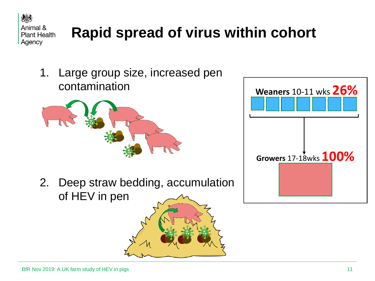

# **Rapid spread of virus within cohort**

1. Large group size, increased pen contamination



2. Deep straw bedding, accumulation of HEV in pen

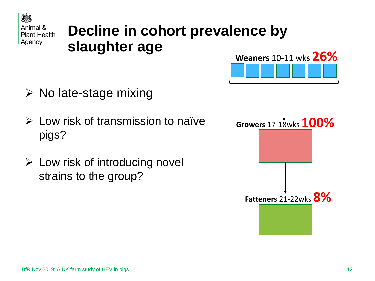

## **Decline in cohort prevalence by slaughter age**

- $\triangleright$  No late-stage mixing
- $\triangleright$  Low risk of transmission to naïve pigs?
- $\triangleright$  Low risk of introducing novel strains to the group?

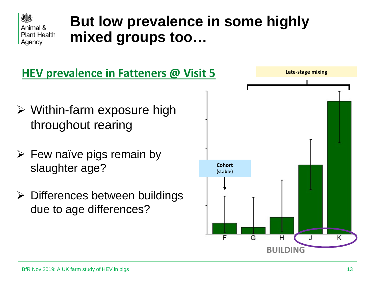

## **But low prevalence in some highly mixed groups too…**

### **HEV prevalence in Fatteners @ Visit 5**

- $\triangleright$  Within-farm exposure high throughout rearing
- $\triangleright$  Few naïve pigs remain by slaughter age?
- $\triangleright$  Differences between buildings due to age differences?

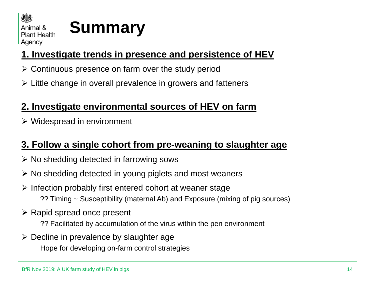

# **Summary**

### **1. Investigate trends in presence and persistence of HEV**

- $\triangleright$  Continuous presence on farm over the study period
- $\triangleright$  Little change in overall prevalence in growers and fatteners

### **2. Investigate environmental sources of HEV on farm**

 $\triangleright$  Widespread in environment

### **3. Follow a single cohort from pre-weaning to slaughter age**

- $\triangleright$  No shedding detected in farrowing sows
- $\triangleright$  No shedding detected in young piglets and most weaners
- $\triangleright$  Infection probably first entered cohort at weaner stage ?? Timing ~ Susceptibility (maternal Ab) and Exposure (mixing of pig sources)
- $\triangleright$  Rapid spread once present
	- ?? Facilitated by accumulation of the virus within the pen environment
- $\triangleright$  Decline in prevalence by slaughter age Hope for developing on-farm control strategies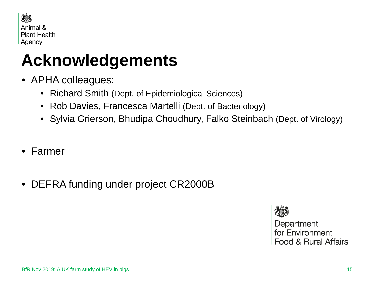

# **Acknowledgements**

- APHA colleagues:
	- Richard Smith (Dept. of Epidemiological Sciences)
	- Rob Davies, Francesca Martelli (Dept. of Bacteriology)
	- Sylvia Grierson, Bhudipa Choudhury, Falko Steinbach (Dept. of Virology)
- Farmer
- DEFRA funding under project CR2000B

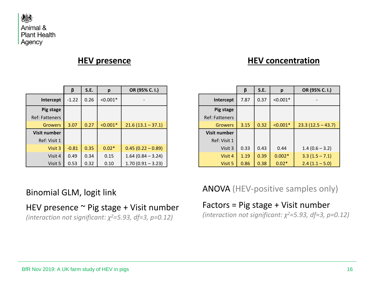

#### **HEV presence**

#### **HEV concentration**

|                       | β       | S.E. | р          | OR (95% C. I.)      |
|-----------------------|---------|------|------------|---------------------|
| Intercept             | $-1.22$ | 0.26 | $< 0.001*$ |                     |
| Pig stage             |         |      |            |                     |
| <b>Ref: Fatteners</b> |         |      |            |                     |
| <b>Growers</b>        | 3.07    | 0.27 | $< 0.001*$ | $21.6(13.1 - 37.1)$ |
| <b>Visit number</b>   |         |      |            |                     |
| Ref: Visit 1          |         |      |            |                     |
| Visit 3               | $-0.81$ | 0.35 | $0.02*$    | $0.45(0.22 - 0.89)$ |
| Visit 4               | 0.49    | 0.34 | 0.15       | $1.64(0.84 - 3.24)$ |
| Visit 5               | 0.53    | 0.32 | 0.10       | $1.70(0.91 - 3.23)$ |

|                       | β    | S.E. | p          | OR (95% C. I.)      |
|-----------------------|------|------|------------|---------------------|
| Intercept             | 7.87 | 0.37 | $< 0.001*$ |                     |
| Pig stage             |      |      |            |                     |
| <b>Ref: Fatteners</b> |      |      |            |                     |
| <b>Growers</b>        | 3.15 | 0.32 | $< 0.001*$ | $23.3(12.5 - 43.7)$ |
| <b>Visit number</b>   |      |      |            |                     |
| Ref: Visit 1          |      |      |            |                     |
| Visit 3               | 0.33 | 0.43 | 0.44       | $1.4(0.6 - 3.2)$    |
| Visit 4               | 1.19 | 0.39 | $0.002*$   | $3.3(1.5 - 7.1)$    |
| Visit 5               | 0.86 | 0.38 | $0.02*$    | $2.4(1.1 - 5.0)$    |

#### Binomial GLM, logit link

#### HEV presence  $\sim$  Pig stage + Visit number

*(interaction not significant: χ2=5.93, df=3, p=0.12)*

ANOVA (HEV-positive samples only)

Factors = Pig stage + Visit number *(interaction not significant: χ2=5.93, df=3, p=0.12)*